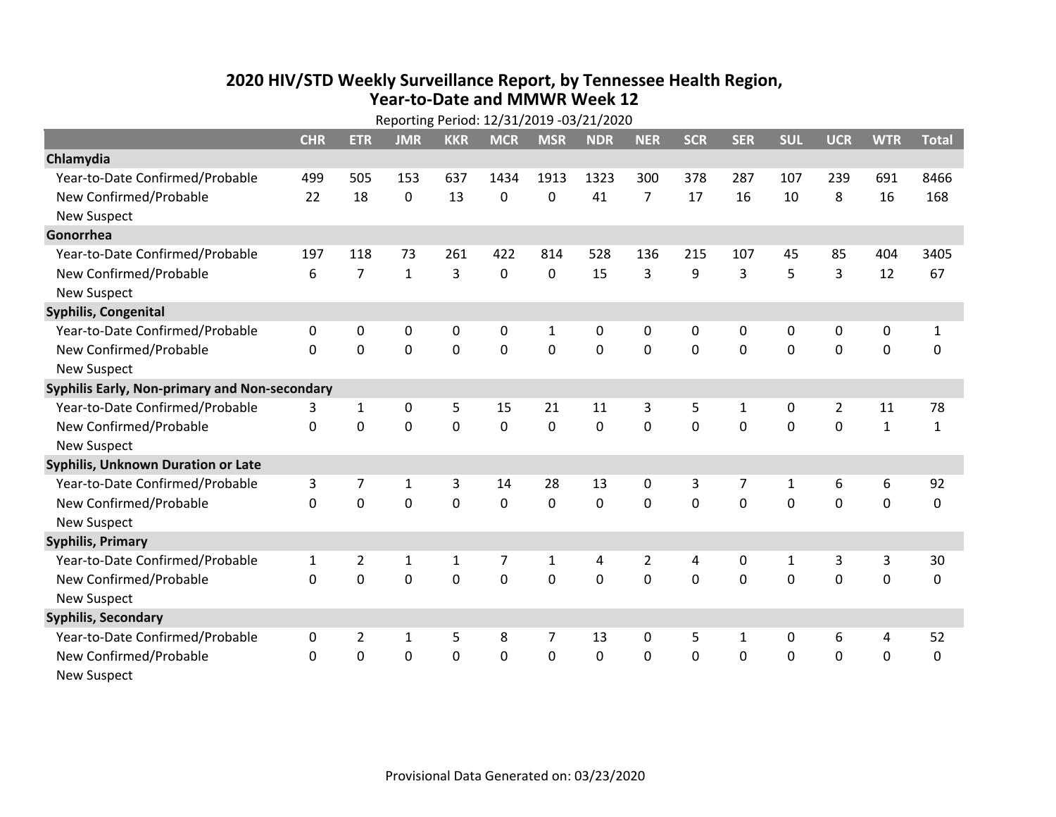## **2020 HIV /STD Weekly Surveillance Report, by Tennessee Health Region, Year‐to‐Date and MMWR Week 12** Reporting Period: 12/31/2019 ‐03/21/2020

| Reporting Period: 12/31/2019 -03/21/2020      |              |                |              |            |             |                |            |                |            |              |              |                |              |              |
|-----------------------------------------------|--------------|----------------|--------------|------------|-------------|----------------|------------|----------------|------------|--------------|--------------|----------------|--------------|--------------|
|                                               | <b>CHR</b>   | <b>ETR</b>     | <b>JMR</b>   | <b>KKR</b> | <b>MCR</b>  | <b>MSR</b>     | <b>NDR</b> | <b>NER</b>     | <b>SCR</b> | <b>SER</b>   | <b>SUL</b>   | <b>UCR</b>     | <b>WTR</b>   | <b>Total</b> |
| Chlamydia                                     |              |                |              |            |             |                |            |                |            |              |              |                |              |              |
| Year-to-Date Confirmed/Probable               | 499          | 505            | 153          | 637        | 1434        | 1913           | 1323       | 300            | 378        | 287          | 107          | 239            | 691          | 8466         |
| New Confirmed/Probable                        | 22           | 18             | 0            | 13         | 0           | 0              | 41         | $\overline{7}$ | 17         | 16           | 10           | 8              | 16           | 168          |
| <b>New Suspect</b>                            |              |                |              |            |             |                |            |                |            |              |              |                |              |              |
| Gonorrhea                                     |              |                |              |            |             |                |            |                |            |              |              |                |              |              |
| Year-to-Date Confirmed/Probable               | 197          | 118            | 73           | 261        | 422         | 814            | 528        | 136            | 215        | 107          | 45           | 85             | 404          | 3405         |
| New Confirmed/Probable                        | 6            | $\overline{7}$ | $\mathbf{1}$ | 3          | 0           | 0              | 15         | 3              | 9          | 3            | 5            | 3              | 12           | 67           |
| <b>New Suspect</b>                            |              |                |              |            |             |                |            |                |            |              |              |                |              |              |
| <b>Syphilis, Congenital</b>                   |              |                |              |            |             |                |            |                |            |              |              |                |              |              |
| Year-to-Date Confirmed/Probable               | 0            | 0              | 0            | 0          | 0           | 1              | 0          | 0              | 0          | $\mathbf{0}$ | 0            | 0              | 0            | $\mathbf{1}$ |
| New Confirmed/Probable                        | $\Omega$     | 0              | 0            | 0          | $\mathbf 0$ | $\mathbf 0$    | 0          | $\Omega$       | $\Omega$   | $\mathbf 0$  | $\mathbf 0$  | $\mathbf 0$    | $\mathbf 0$  | 0            |
| <b>New Suspect</b>                            |              |                |              |            |             |                |            |                |            |              |              |                |              |              |
| Syphilis Early, Non-primary and Non-secondary |              |                |              |            |             |                |            |                |            |              |              |                |              |              |
| Year-to-Date Confirmed/Probable               | 3            | 1              | 0            | 5          | 15          | 21             | 11         | 3              | 5          | $\mathbf{1}$ | 0            | $\overline{2}$ | 11           | 78           |
| New Confirmed/Probable                        | $\Omega$     | $\mathbf 0$    | 0            | 0          | 0           | 0              | 0          | $\Omega$       | $\Omega$   | $\mathbf{0}$ | 0            | 0              | $\mathbf{1}$ | $\mathbf{1}$ |
| <b>New Suspect</b>                            |              |                |              |            |             |                |            |                |            |              |              |                |              |              |
| Syphilis, Unknown Duration or Late            |              |                |              |            |             |                |            |                |            |              |              |                |              |              |
| Year-to-Date Confirmed/Probable               | 3            | 7              | $\mathbf{1}$ | 3          | 14          | 28             | 13         | $\mathbf{0}$   | 3          | 7            | 1            | 6              | 6            | 92           |
| New Confirmed/Probable                        | 0            | 0              | 0            | 0          | 0           | 0              | 0          | $\Omega$       | $\Omega$   | $\Omega$     | $\Omega$     | 0              | $\mathbf 0$  | 0            |
| <b>New Suspect</b>                            |              |                |              |            |             |                |            |                |            |              |              |                |              |              |
| <b>Syphilis, Primary</b>                      |              |                |              |            |             |                |            |                |            |              |              |                |              |              |
| Year-to-Date Confirmed/Probable               | $\mathbf{1}$ | $\overline{2}$ | 1            | 1          | 7           | 1              | 4          | 2              | 4          | $\mathbf{0}$ | $\mathbf{1}$ | 3              | 3            | 30           |
| New Confirmed/Probable                        | $\Omega$     | $\Omega$       | 0            | 0          | $\Omega$    | $\Omega$       | $\Omega$   | $\Omega$       | $\Omega$   | $\Omega$     | $\Omega$     | $\Omega$       | $\mathbf 0$  | 0            |
| <b>New Suspect</b>                            |              |                |              |            |             |                |            |                |            |              |              |                |              |              |
| <b>Syphilis, Secondary</b>                    |              |                |              |            |             |                |            |                |            |              |              |                |              |              |
| Year-to-Date Confirmed/Probable               | 0            | $\overline{2}$ | 1            | 5          | 8           | $\overline{7}$ | 13         | $\mathbf{0}$   | 5          | 1            | 0            | 6              | 4            | 52           |
| New Confirmed/Probable                        | $\Omega$     | 0              | 0            | 0          | $\mathbf 0$ | $\mathbf 0$    | $\Omega$   | $\Omega$       | $\Omega$   | $\mathbf 0$  | $\mathbf 0$  | $\mathbf 0$    | $\mathbf 0$  | $\mathbf 0$  |
| New Suspect                                   |              |                |              |            |             |                |            |                |            |              |              |                |              |              |